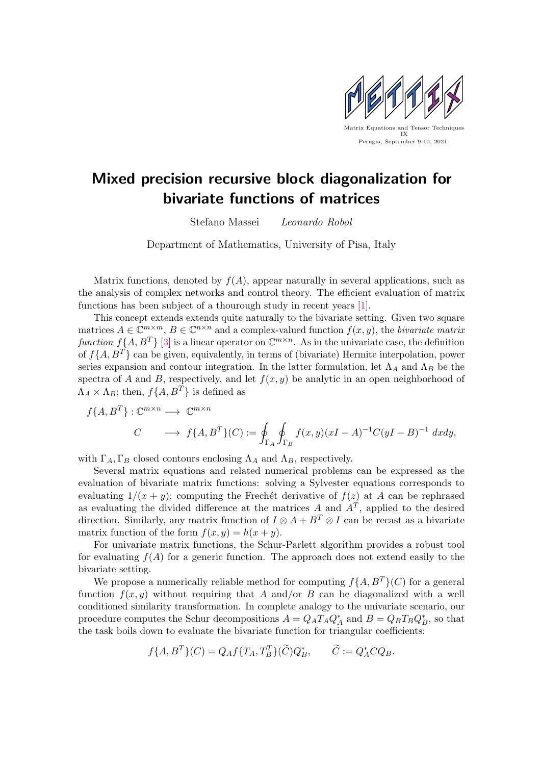

## Mixed precision recursive block diagonalization for bivariate functions of matrices

Stefano Massei Leonardo Robol

Department of Mathematics, University of Pisa, Italy

Matrix functions, denoted by  $f(A)$ , appear naturally in several applications, such as the analysis of complex networks and control theory. The efficient evaluation of matrix functions has been subject of a thourough study in recent years [\[1\]](#page-1-0).

This concept extends extends quite naturally to the bivariate setting. Given two square matrices  $A \in \mathbb{C}^{m \times m}$ ,  $B \in \mathbb{C}^{n \times n}$  and a complex-valued function  $f(x, y)$ , the bivariate matrix function  $f\{A, B^T\}$  [\[3\]](#page-1-1) is a linear operator on  $\mathbb{C}^{m \times n}$ . As in the univariate case, the definition of  $f\{A, B^T\}$  can be given, equivalently, in terms of (bivariate) Hermite interpolation, power series expansion and contour integration. In the latter formulation, let  $\Lambda_A$  and  $\Lambda_B$  be the spectra of A and B, respectively, and let  $f(x, y)$  be analytic in an open neighborhood of  $\Lambda_A \times \Lambda_B$ ; then,  $f\{A, B^T\}$  is defined as

$$
f\{A, B^T\} : \mathbb{C}^{m \times n} \longrightarrow \mathbb{C}^{m \times n}
$$
  

$$
C \longrightarrow f\{A, B^T\}(C) := \oint_{\Gamma_A} \oint_{\Gamma_B} f(x, y)(xI - A)^{-1}C(yI - B)^{-1} dx dy,
$$

with  $\Gamma_A, \Gamma_B$  closed contours enclosing  $\Lambda_A$  and  $\Lambda_B$ , respectively.

Several matrix equations and related numerical problems can be expressed as the evaluation of bivariate matrix functions: solving a Sylvester equations corresponds to evaluating  $1/(x + y)$ ; computing the Frechet derivative of  $f(z)$  at A can be rephrased as evaluating the divided difference at the matrices A and  $A<sup>T</sup>$ , applied to the desired direction. Similarly, any matrix function of  $I \otimes A + B^T \otimes I$  can be recast as a bivariate matrix function of the form  $f(x, y) = h(x + y)$ .

For univariate matrix functions, the Schur-Parlett algorithm provides a robust tool for evaluating  $f(A)$  for a generic function. The approach does not extend easily to the bivariate setting.

We propose a numerically reliable method for computing  $f\{A, B^T\}(C)$  for a general function  $f(x, y)$  without requiring that A and/or B can be diagonalized with a well conditioned similarity transformation. In complete analogy to the univariate scenario, our procedure computes the Schur decompositions  $A = Q_A T_A Q_A^*$  and  $B = Q_B T_B Q_B^*$ , so that the task boils down to evaluate the bivariate function for triangular coefficients:

$$
f\{A, B^T\}(C) = Q_A f\{T_A, T_B^T\}(\widetilde{C})Q_B^*, \qquad \widetilde{C} := Q_A^* C Q_B.
$$